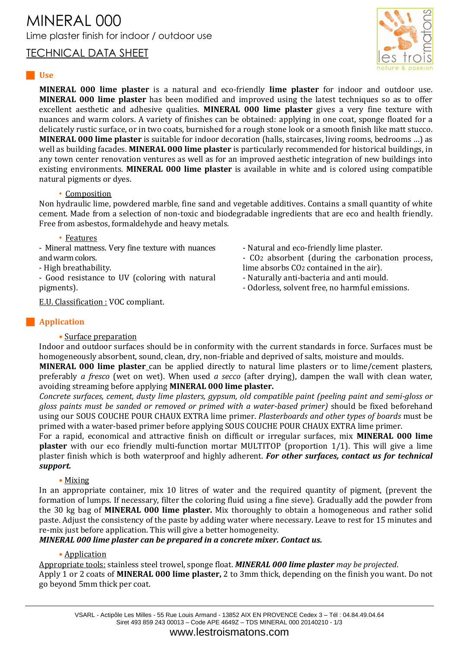# MINERAL 000 Lime plaster finish for indoor / outdoor use

TECHNICAL DATA SHEET



### **Use**

**MINERAL 000 lime plaster** is a natural and eco-friendly **lime plaster** for indoor and outdoor use. **MINERAL 000 lime plaster** has been modified and improved using the latest techniques so as to offer excellent aesthetic and adhesive qualities. **MINERAL 000 lime plaster** gives a very fine texture with nuances and warm colors. A variety of finishes can be obtained: applying in one coat, sponge floated for a delicately rustic surface, or in two coats, burnished for a rough stone look or a smooth finish like matt stucco. **MINERAL 000 lime plaster** is suitable for indoor decoration (halls, staircases, living rooms, bedrooms …) as well as building facades. **MINERAL 000 lime plaster** is particularly recommended for historical buildings, in any town center renovation ventures as well as for an improved aesthetic integration of new buildings into existing environments. **MINERAL 000 lime plaster** is available in white and is colored using compatible natural pigments or dyes.

### • Composition

Non hydraulic lime, powdered marble, fine sand and vegetable additives. Contains a small quantity of white cement. Made from a selection of non-toxic and biodegradable ingredients that are eco and health friendly. Free from asbestos, formaldehyde and heavy metals.

- Natural and eco-friendly lime plaster.

lime absorbs CO2 contained in the air). - Naturally anti-bacteria and anti mould. - Odorless, solvent free, no harmful emissions.

- CO2 absorbent (during the carbonation process,

### • Features

- Mineral mattness. Very fine texture with nuances and warm colors.

- High breathability.

- Good resistance to UV (coloring with natural pigments).

E.U. Classification : VOC compliant.

### **Application**

### • Surface preparation

Indoor and outdoor surfaces should be in conformity with the current standards in force. Surfaces must be homogeneously absorbent, sound, clean, dry, non-friable and deprived of salts, moisture and moulds.

**MINERAL 000 lime plaster** can be applied directly to natural lime plasters or to lime/cement plasters, preferably *a fresco* (wet on wet). When used *a secco* (after drying), dampen the wall with clean water, avoiding streaming before applying **MINERAL 000 lime plaster.**

*Concrete surfaces, cement, dusty lime plasters, gypsum, old compatible paint (peeling paint and semi-gloss or gloss paints must be sanded or removed or primed with a water-based primer)* should be fixed beforehand using our SOUS COUCHE POUR CHAUX EXTRA lime primer. *Plasterboards and other types of boards* must be primed with a water-based primer before applying SOUS COUCHE POUR CHAUX EXTRA lime primer.

For a rapid, economical and attractive finish on difficult or irregular surfaces, mix **MINERAL 000 lime plaster** with our eco friendly multi-function mortar MULTITOP (proportion 1/1). This will give a lime plaster finish which is both waterproof and highly adherent. *For other surfaces, contact us for technical support.*

# • Mixing

In an appropriate container, mix 10 litres of water and the required quantity of pigment, (prevent the formation of lumps. If necessary, filter the coloring fluid using a fine sieve). Gradually add the powder from the 30 kg bag of **MINERAL 000 lime plaster.** Mix thoroughly to obtain a homogeneous and rather solid paste. Adjust the consistency of the paste by adding water where necessary. Leave to rest for 15 minutes and re-mix just before application. This will give a better homogeneity.

# *MINERAL 000 lime plaster can be prepared in a concrete mixer. Contact us.*

# • Application

Appropriate tools: stainless steel trowel, sponge float. *MINERAL 000 lime plaster may be projected*. Apply 1 or 2 coats of **MINERAL 000 lime plaster,** 2 to 3mm thick, depending on the finish you want. Do not go beyond 5mm thick per coat.

www.lestroismatons.com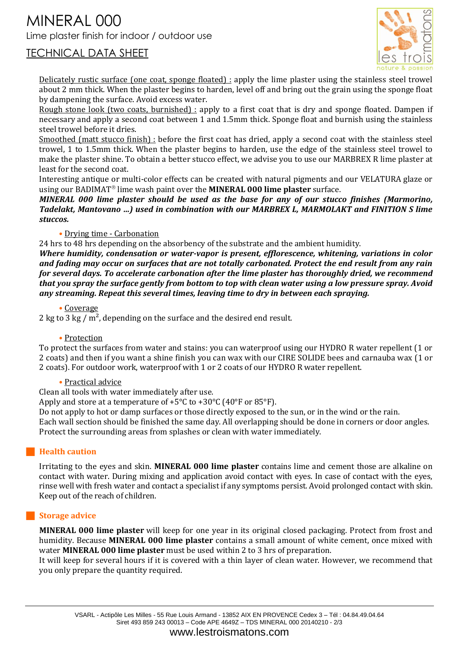# MINERAL 000 Lime plaster finish for indoor / outdoor use



# TECHNICAL DATA SHEET

Delicately rustic surface (one coat, sponge floated) : apply the lime plaster using the stainless steel trowel about 2 mm thick. When the plaster begins to harden, level off and bring out the grain using the sponge float by dampening the surface. Avoid excess water.

Rough stone look (two coats, burnished) : apply to a first coat that is dry and sponge floated. Dampen if necessary and apply a second coat between 1 and 1.5mm thick. Sponge float and burnish using the stainless steel trowel before it dries.

Smoothed (matt stucco finish) : before the first coat has dried, apply a second coat with the stainless steel trowel, 1 to 1.5mm thick. When the plaster begins to harden, use the edge of the stainless steel trowel to make the plaster shine. To obtain a better stucco effect, we advise you to use our MARBREX R lime plaster at least for the second coat.

Interesting antique or multi-color effects can be created with natural pigments and our VELATURA glaze or using our BADIMAT<sup>®</sup> lime wash paint over the **MINERAL 000 lime plaster** surface.

*MINERAL 000 lime plaster should be used as the base for any of our stucco finishes (Marmorino, Tadelakt, Mantovano …) used in combination with our MARBREX L, MARMOLAKT and FINITION S lime stuccos.*

### • Drying time - Carbonation

24 hrs to 48 hrs depending on the absorbency of the substrate and the ambient humidity.

*Where humidity, condensation or water-vapor is present, efflorescence, whitening, variations in color and fading may occur on surfaces that are not totally carbonated. Protect the end result from any rain for several days. To accelerate carbonation after the lime plaster has thoroughly dried, we recommend that you spray the surface gently from bottom to top with clean water using a low pressure spray. Avoid any streaming. Repeat this several times, leaving time to dry in between each spraying.*

### • Coverage

2 kg to 3 kg /  $m^2$ , depending on the surface and the desired end result.

### • Protection

To protect the surfaces from water and stains: you can waterproof using our HYDRO R water repellent (1 or 2 coats) and then if you want a shine finish you can wax with our CIRE SOLIDE bees and carnauba wax (1 or 2 coats). For outdoor work, waterproof with 1 or 2 coats of our HYDRO R water repellent.

### • Practical advice

Clean all tools with water immediately after use.

Apply and store at a temperature of +5°C to +30°C (40°F or 85°F).

Do not apply to hot or damp surfaces or those directly exposed to the sun, or in the wind or the rain.

Each wall section should be finished the same day. All overlapping should be done in corners or door angles. Protect the surrounding areas from splashes or clean with water immediately.

### **Health caution**

Irritating to the eyes and skin. **MINERAL 000 lime plaster** contains lime and cement those are alkaline on contact with water. During mixing and application avoid contact with eyes. In case of contact with the eyes, rinse well with fresh water and contact a specialist if any symptoms persist. Avoid prolonged contact with skin. Keep out of the reach of children.

### **Storage advice**

**MINERAL 000 lime plaster** will keep for one year in its original closed packaging. Protect from frost and humidity. Because **MINERAL 000 lime plaster** contains a small amount of white cement, once mixed with water **MINERAL 000 lime plaster** must be used within 2 to 3 hrs of preparation.

It will keep for several hours if it is covered with a thin layer of clean water. However, we recommend that you only prepare the quantity required.